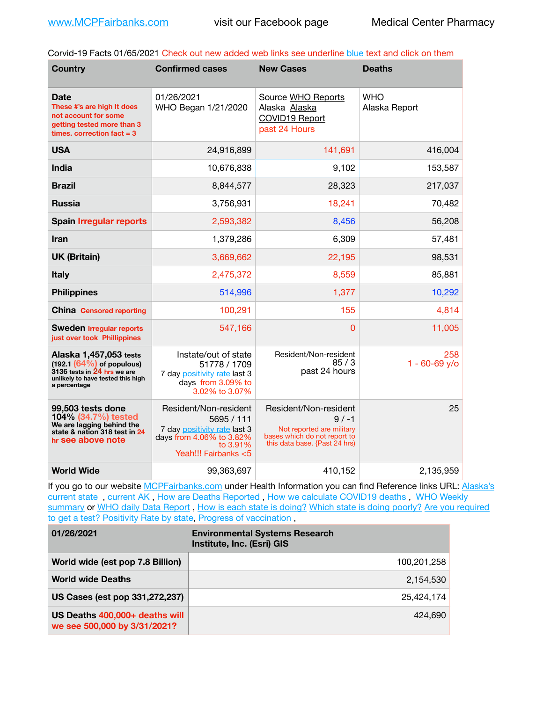Corvid-19 Facts 01/65/2021 Check out new added web links see underline blue text and click on them

| <b>Country</b>                                                                                                                                | <b>Confirmed cases</b>                                                                                                              | <b>New Cases</b>                                                                                                               | <b>Deaths</b>               |
|-----------------------------------------------------------------------------------------------------------------------------------------------|-------------------------------------------------------------------------------------------------------------------------------------|--------------------------------------------------------------------------------------------------------------------------------|-----------------------------|
| <b>Date</b><br>These #'s are high It does<br>not account for some<br>getting tested more than 3<br>times. correction $fact = 3$               | 01/26/2021<br>WHO Began 1/21/2020                                                                                                   | Source WHO Reports<br>Alaska Alaska<br>COVID19 Report<br>past 24 Hours                                                         | <b>WHO</b><br>Alaska Report |
| <b>USA</b>                                                                                                                                    | 24,916,899                                                                                                                          | 141,691                                                                                                                        | 416,004                     |
| <b>India</b>                                                                                                                                  | 10,676,838                                                                                                                          | 9,102                                                                                                                          | 153,587                     |
| <b>Brazil</b>                                                                                                                                 | 8,844,577                                                                                                                           | 28,323                                                                                                                         | 217,037                     |
| <b>Russia</b>                                                                                                                                 | 3,756,931                                                                                                                           | 18,241                                                                                                                         | 70,482                      |
| <b>Spain Irregular reports</b>                                                                                                                | 2,593,382                                                                                                                           | 8,456                                                                                                                          | 56,208                      |
| <b>Iran</b>                                                                                                                                   | 1,379,286                                                                                                                           | 6,309                                                                                                                          | 57,481                      |
| <b>UK (Britain)</b>                                                                                                                           | 3,669,662                                                                                                                           | 22,195                                                                                                                         | 98,531                      |
| <b>Italy</b>                                                                                                                                  | 2,475,372                                                                                                                           | 8,559                                                                                                                          | 85,881                      |
| <b>Philippines</b>                                                                                                                            | 514,996                                                                                                                             | 1,377                                                                                                                          | 10,292                      |
| <b>China Censored reporting</b>                                                                                                               | 100,291                                                                                                                             | 155                                                                                                                            | 4,814                       |
| <b>Sweden Irregular reports</b><br>just over took Phillippines                                                                                | 547,166                                                                                                                             | 0                                                                                                                              | 11,005                      |
| Alaska 1,457,053 tests<br>$(192.1 (64%)$ of populous)<br>$3136$ tests in $24$ hrs we are<br>unlikely to have tested this high<br>a percentage | Instate/out of state<br>51778 / 1709<br>7 day positivity rate last 3<br>days from 3.09% to<br>3.02% to 3.07%                        | Resident/Non-resident<br>85/3<br>past 24 hours                                                                                 | 258<br>$1 - 60 - 69$ y/o    |
| 99,503 tests done<br>104% (34.7%) tested<br>We are lagging behind the<br>state & nation 318 test in 24<br>hr see above note                   | Resident/Non-resident<br>5695 / 111<br>7 day positivity rate last 3<br>days from 4.06% to 3.82%<br>to 3.91%<br>Yeah!!! Fairbanks <5 | Resident/Non-resident<br>$9/ -1$<br>Not reported are military<br>bases which do not report to<br>this data base. {Past 24 hrs) | 25                          |
| <b>World Wide</b>                                                                                                                             | 99,363,697                                                                                                                          | 410,152                                                                                                                        | 2,135,959                   |

If you go to our website [MCPFairbanks.com](http://www.MCPFairbanks.com) under Health Information you can find Reference links URL: Alaska's current state, current AK, [How are Deaths Reported](http://dhss.alaska.gov/dph/Epi/id/Pages/COVID-19/deathcounts.aspx), [How we calculate COVID19 deaths](https://coronavirus-response-alaska-dhss.hub.arcgis.com/search?collection=Document&groupIds=41ccb3344ebc4bd682c74073eba21f42), WHO Weekly [summary](http://www.who.int) or [WHO daily Data Report](https://covid19.who.int/table), [How is each state is doing?](https://www.msn.com/en-us/news/us/state-by-state-coronavirus-news/ar-BB13E1PX?fbclid=IwAR0_OBJH7lSyTN3ug_MsOeFnNgB1orTa9OBgilKJ7dhnwlVvHEsptuKkj1c) [Which state is doing poorly?](https://bestlifeonline.com/covid-outbreak-your-state/?utm_source=nsltr&utm_medium=email&utm_content=covid-outbreak-your-state&utm_campaign=launch) Are you required [to get a test?](http://dhss.alaska.gov/dph/Epi/id/SiteAssets/Pages/HumanCoV/Whattodoafteryourtest.pdf) [Positivity Rate by state](https://coronavirus.jhu.edu/testing/individual-states/alaska), [Progress of vaccination](https://covid.cdc.gov/covid-data-tracker/#vaccinations),

| 01/26/2021                                                     | <b>Environmental Systems Research</b><br>Institute, Inc. (Esri) GIS |
|----------------------------------------------------------------|---------------------------------------------------------------------|
| World wide (est pop 7.8 Billion)                               | 100,201,258                                                         |
| <b>World wide Deaths</b>                                       | 2.154.530                                                           |
| US Cases (est pop 331,272,237)                                 | 25.424.174                                                          |
| US Deaths 400,000+ deaths will<br>we see 500,000 by 3/31/2021? | 424.690                                                             |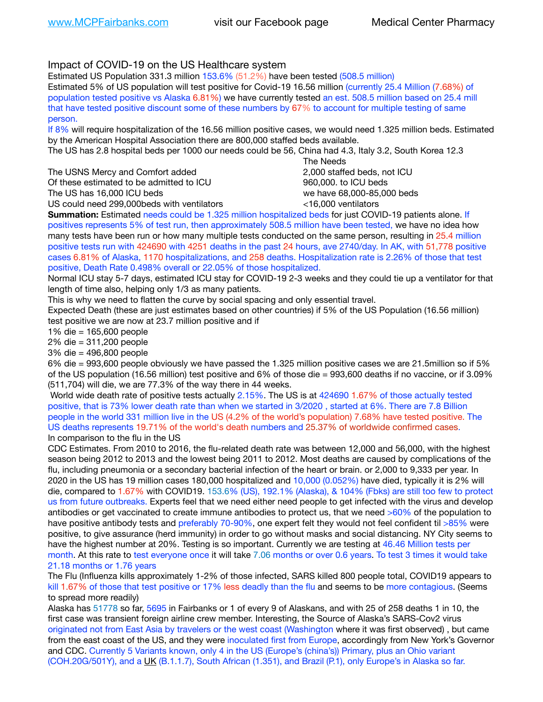## Impact of COVID-19 on the US Healthcare system

Estimated US Population 331.3 million 153.6% (51.2%) have been tested (508.5 million)

Estimated 5% of US population will test positive for Covid-19 16.56 million (currently 25.4 Million (7.68%) of population tested positive vs Alaska 6.81%) we have currently tested an est. 508.5 million based on 25.4 mill that have tested positive discount some of these numbers by 67% to account for multiple testing of same person.

If 8% will require hospitalization of the 16.56 million positive cases, we would need 1.325 million beds. Estimated by the American Hospital Association there are 800,000 staffed beds available.

The US has 2.8 hospital beds per 1000 our needs could be 56, China had 4.3, Italy 3.2, South Korea 12.3

The USNS Mercy and Comfort added **8.2000** staffed beds, not ICU Of these estimated to be admitted to ICU 960,000, to ICU beds The US has 16,000 ICU beds we have 68,000-85,000 beds US could need 299,000 beds with ventilators  $\leq 16,000$  ventilators

 The Needs

**Summation:** Estimated needs could be 1.325 million hospitalized beds for just COVID-19 patients alone. If positives represents 5% of test run, then approximately 508.5 million have been tested, we have no idea how many tests have been run or how many multiple tests conducted on the same person, resulting in 25.4 million positive tests run with 424690 with 4251 deaths in the past 24 hours, ave 2740/day. In AK, with 51,778 positive cases 6.81% of Alaska, 1170 hospitalizations, and 258 deaths. Hospitalization rate is 2.26% of those that test positive, Death Rate 0.498% overall or 22.05% of those hospitalized.

Normal ICU stay 5-7 days, estimated ICU stay for COVID-19 2-3 weeks and they could tie up a ventilator for that length of time also, helping only 1/3 as many patients.

This is why we need to flatten the curve by social spacing and only essential travel.

Expected Death (these are just estimates based on other countries) if 5% of the US Population (16.56 million) test positive we are now at 23.7 million positive and if

1% die = 165,600 people

2% die = 311,200 people

3% die = 496,800 people

6% die = 993,600 people obviously we have passed the 1.325 million positive cases we are 21.5million so if 5% of the US population (16.56 million) test positive and 6% of those die = 993,600 deaths if no vaccine, or if 3.09% (511,704) will die, we are 77.3% of the way there in 44 weeks.

 World wide death rate of positive tests actually 2.15%. The US is at 424690 1.67% of those actually tested positive, that is 73% lower death rate than when we started in 3/2020 , started at 6%. There are 7.8 Billion people in the world 331 million live in the US (4.2% of the world's population) 7.68% have tested positive. The US deaths represents 19.71% of the world's death numbers and 25.37% of worldwide confirmed cases. In comparison to the flu in the US

CDC Estimates. From 2010 to 2016, the flu-related death rate was between 12,000 and 56,000, with the highest season being 2012 to 2013 and the lowest being 2011 to 2012. Most deaths are caused by complications of the flu, including pneumonia or a secondary bacterial infection of the heart or brain. or 2,000 to 9,333 per year. In 2020 in the US has 19 million cases 180,000 hospitalized and 10,000 (0.052%) have died, typically it is 2% will die, compared to 1.67% with COVID19. 153.6% (US), 192.1% (Alaska), & 104% (Fbks) are still too few to protect us from future outbreaks. Experts feel that we need either need people to get infected with the virus and develop antibodies or get vaccinated to create immune antibodies to protect us, that we need >60% of the population to have positive antibody tests and preferably 70-90%, one expert felt they would not feel confident til >85% were positive, to give assurance (herd immunity) in order to go without masks and social distancing. NY City seems to have the highest number at 20%. Testing is so important. Currently we are testing at 46.46 Million tests per month. At this rate to test everyone once it will take 7.06 months or over 0.6 years. To test 3 times it would take 21.18 months or 1.76 years

The Flu (Influenza kills approximately 1-2% of those infected, SARS killed 800 people total, COVID19 appears to kill 1.67% of those that test positive or 17% less deadly than the flu and seems to be more contagious. (Seems to spread more readily)

Alaska has 51778 so far, 5695 in Fairbanks or 1 of every 9 of Alaskans, and with 25 of 258 deaths 1 in 10, the first case was transient foreign airline crew member. Interesting, the Source of Alaska's SARS-Cov2 virus originated not from East Asia by travelers or the west coast (Washington where it was first observed) , but came from the east coast of the US, and they were inoculated first from Europe, accordingly from New York's Governor and CDC. Currently 5 Variants known, only 4 in the US (Europe's (china's)) Primary, plus an Ohio variant (COH.20G/501Y), and a [UK](https://www.cdc.gov/coronavirus/2019-ncov/transmission/variant-cases.html) (B.1.1.7), South African (1.351), and Brazil (P.1), only Europe's in Alaska so far.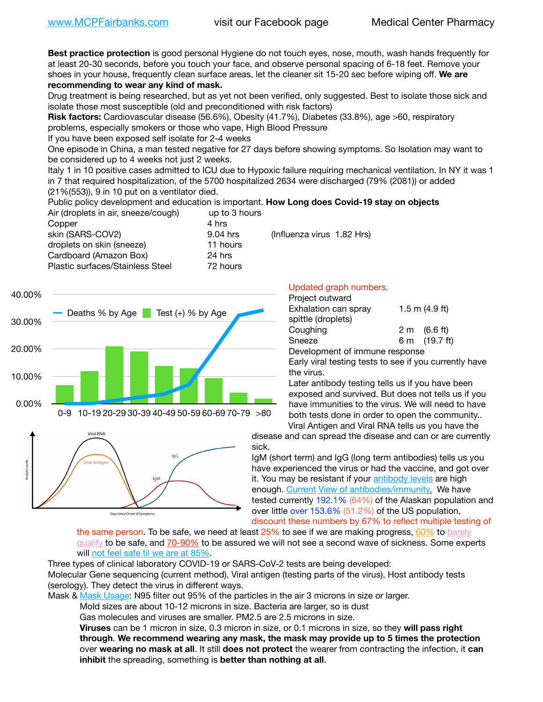**Best practice protection** is good personal Hygiene do not touch eyes, nose, mouth, wash hands frequently for at least 20-30 seconds, before you touch your face, and observe personal spacing of 6-18 feet. Remove your shoes in your house, frequently clean surface areas, let the cleaner sit 15-20 sec before wiping off. **We are recommending to wear any kind of mask.**

Drug treatment is being researched, but as yet not been verified, only suggested. Best to isolate those sick and isolate those most susceptible (old and preconditioned with risk factors)

**Risk factors:** Cardiovascular disease (56.6%), Obesity (41.7%), Diabetes (33.8%), age >60, respiratory problems, especially smokers or those who vape, High Blood Pressure

If you have been exposed self isolate for 2-4 weeks

One episode in China, a man tested negative for 27 days before showing symptoms. So Isolation may want to be considered up to 4 weeks not just 2 weeks.

Italy 1 in 10 positive cases admitted to ICU due to Hypoxic failure requiring mechanical ventilation. In NY it was 1 in 7 that required hospitalization, of the 5700 hospitalized 2634 were discharged (79% (2081)) or added (21%(553)), 9 in 10 put on a ventilator died.

Public policy development and education is important. **How Long does Covid-19 stay on objects**

| up to 3 hours                          |
|----------------------------------------|
|                                        |
| (Influenza virus 1.82 Hrs)<br>9.04 hrs |
| 11 hours                               |
| 24 hrs                                 |
| 72 hours                               |
|                                        |





### Updated graph numbers.

| Project outward                |                        |
|--------------------------------|------------------------|
| Exhalation can spray           | 1.5 m $(4.9$ ft)       |
| spittle (droplets)             |                        |
| Coughing                       | $2 \text{ m}$ (6.6 ft) |
| Sneeze                         | 6 m (19.7 ft)          |
| Development of immune response |                        |
|                                |                        |

Early viral testing tests to see if you currently have the virus.

Later antibody testing tells us if you have been exposed and survived. But does not tells us if you have immunities to the virus. We will need to have both tests done in order to open the community.. Viral Antigen and Viral RNA tells us you have the

disease and can spread the disease and can or are currently sick.

IgM (short term) and IgG (long term antibodies) tells us you have experienced the virus or had the vaccine, and got over it. You may be resistant if your [antibody levels](https://www.cdc.gov/coronavirus/2019-ncov/lab/resources/antibody-tests.html) are high enough. [Current](https://l.facebook.com/l.php?u=https://www.itv.com/news/2020-10-26/covid-19-antibody-levels-reduce-over-time-study-finds?fbclid=IwAR3Dapzh1qIH1EIOdUQI2y8THf7jfA4KBCaJz8Qg-8xe1YsrR4nsAHDIXSY&h=AT30nut8pkqp0heVuz5W2rT2WFFm-2Ab52BsJxZZCNlGsX58IpPkuVEPULbIUV_M16MAukx1Kwb657DPXxsgDN1rpOQ4gqBtQsmVYiWpnHPJo2RQsU6CPMd14lgLnQnFWxfVi6zvmw&__tn__=-UK-R&c%5B0%5D=AT1GaRAfR_nGAyqcn7TI1-PpvqOqEKXHnz6TDWvRStMnOSH7boQDvTiwTOc6VId9UES6LKiOmm2m88wKCoolkJyOFvakt2Z1Mw8toYWGGoWW23r0MNVBl7cYJXB_UOvGklNHaNnaNr1_S7NhT3BSykNOBg) [View of antibodies/immunity](https://www.livescience.com/antibodies.html)[.](https://www.itv.com/news/2020-10-26/covid-19-antibody-levels-reduce-over-time-study-finds) We have tested currently 192.1% (64%) of the Alaskan population and over little over 153.6% (51.2%) of the US population, discount these numbers by 67% to reflect multiple testing of

the same person. To be safe, we need at least 25% to see if we are making progress, [60%](https://www.jhsph.edu/covid-19/articles/achieving-herd-immunity-with-covid19.html) to barely [qualify](https://www.nature.com/articles/d41586-020-02948-4) to be safe, and [70-90%](https://www.mayoclinic.org/herd-immunity-and-coronavirus/art-20486808) to be assured we will not see a second wave of sickness. Some experts will [not feel safe til we are at 85%](https://www.bannerhealth.com/healthcareblog/teach-me/what-is-herd-immunity).

Three types of clinical laboratory COVID-19 or SARS-CoV-2 tests are being developed:

Molecular Gene sequencing (current method), Viral antigen (testing parts of the virus), Host antibody tests (serology). They detect the virus in different ways.

Mask & [Mask Usage:](https://www.nationalgeographic.com/history/2020/03/how-cities-flattened-curve-1918-spanish-flu-pandemic-coronavirus/) N95 filter out 95% of the particles in the air 3 microns in size or larger.

Mold sizes are about 10-12 microns in size. Bacteria are larger, so is dust

Gas molecules and viruses are smaller. PM2.5 are 2.5 microns in size.

**Viruses** can be 1 micron in size, 0.3 micron in size, or 0.1 microns in size, so they **will pass right through**. **We recommend wearing any mask, the mask may provide up to 5 times the protection** over **wearing no mask at all**. It still **does not protect** the wearer from contracting the infection, it **can inhibit** the spreading, something is **better than nothing at all**.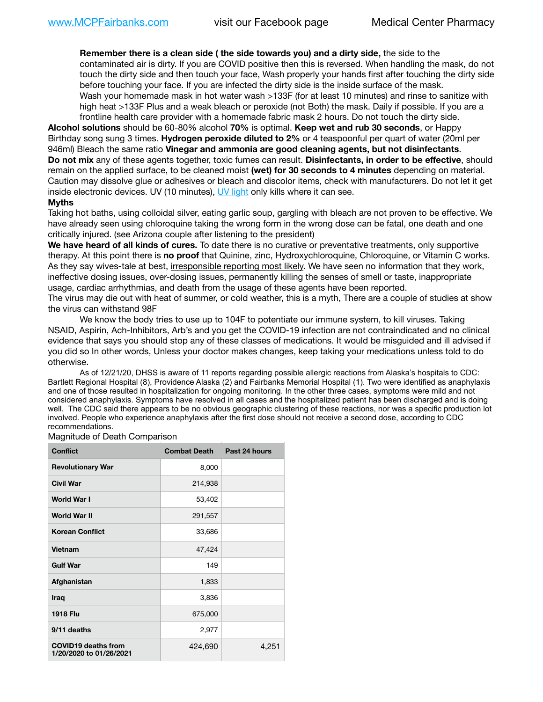**Remember there is a clean side ( the side towards you) and a dirty side,** the side to the contaminated air is dirty. If you are COVID positive then this is reversed. When handling the mask, do not touch the dirty side and then touch your face, Wash properly your hands first after touching the dirty side before touching your face. If you are infected the dirty side is the inside surface of the mask. Wash your homemade mask in hot water wash >133F (for at least 10 minutes) and rinse to sanitize with high heat >133F Plus and a weak bleach or peroxide (not Both) the mask. Daily if possible. If you are a frontline health care provider with a homemade fabric mask 2 hours. Do not touch the dirty side.

**Alcohol solutions** should be 60-80% alcohol **70%** is optimal. **Keep wet and rub 30 seconds**, or Happy Birthday song sung 3 times. **Hydrogen peroxide diluted to 2%** or 4 teaspoonful per quart of water (20ml per 946ml) Bleach the same ratio **Vinegar and ammonia are good cleaning agents, but not disinfectants**. **Do not mix** any of these agents together, toxic fumes can result. **Disinfectants, in order to be effective**, should remain on the applied surface, to be cleaned moist **(wet) for 30 seconds to 4 minutes** depending on material. Caution may dissolve glue or adhesives or bleach and discolor items, check with manufacturers. Do not let it get inside electronic devices. UV (10 minutes), [UV light](http://www.docreviews.me/best-uv-boxes-2020/?fbclid=IwAR3bvFtXB48OoBBSvYvTEnKuHNPbipxM6jUo82QUSw9wckxjC7wwRZWabGw) only kills where it can see.

#### **Myths**

Taking hot baths, using colloidal silver, eating garlic soup, gargling with bleach are not proven to be effective. We have already seen using chloroquine taking the wrong form in the wrong dose can be fatal, one death and one critically injured. (see Arizona couple after listening to the president)

**We have heard of all kinds of cures.** To date there is no curative or preventative treatments, only supportive therapy. At this point there is **no proof** that Quinine, zinc, Hydroxychloroquine, Chloroquine, or Vitamin C works. As they say wives-tale at best, irresponsible reporting most likely. We have seen no information that they work, ineffective dosing issues, over-dosing issues, permanently killing the senses of smell or taste, inappropriate usage, cardiac arrhythmias, and death from the usage of these agents have been reported.

The virus may die out with heat of summer, or cold weather, this is a myth, There are a couple of studies at show the virus can withstand 98F

We know the body tries to use up to 104F to potentiate our immune system, to kill viruses. Taking NSAID, Aspirin, Ach-Inhibitors, Arb's and you get the COVID-19 infection are not contraindicated and no clinical evidence that says you should stop any of these classes of medications. It would be misguided and ill advised if you did so In other words, Unless your doctor makes changes, keep taking your medications unless told to do otherwise.

As of 12/21/20, DHSS is aware of 11 reports regarding possible allergic reactions from Alaska's hospitals to CDC: Bartlett Regional Hospital (8), Providence Alaska (2) and Fairbanks Memorial Hospital (1). Two were identified as anaphylaxis and one of those resulted in hospitalization for ongoing monitoring. In the other three cases, symptoms were mild and not considered anaphylaxis. Symptoms have resolved in all cases and the hospitalized patient has been discharged and is doing well. The CDC said there appears to be no obvious geographic clustering of these reactions, nor was a specific production lot involved. People who experience anaphylaxis after the first dose should not receive a second dose, according to CDC recommendations.

Magnitude of Death Comparison

| <b>Conflict</b>                                       | <b>Combat Death</b> | Past 24 hours |
|-------------------------------------------------------|---------------------|---------------|
| <b>Revolutionary War</b>                              | 8,000               |               |
| <b>Civil War</b>                                      | 214,938             |               |
| <b>World War I</b>                                    | 53,402              |               |
| <b>World War II</b>                                   | 291,557             |               |
| <b>Korean Conflict</b>                                | 33,686              |               |
| <b>Vietnam</b>                                        | 47,424              |               |
| <b>Gulf War</b>                                       | 149                 |               |
| Afghanistan                                           | 1,833               |               |
| <b>Iraq</b>                                           | 3,836               |               |
| <b>1918 Flu</b>                                       | 675,000             |               |
| 9/11 deaths                                           | 2,977               |               |
| <b>COVID19 deaths from</b><br>1/20/2020 to 01/26/2021 | 424,690             | 4,251         |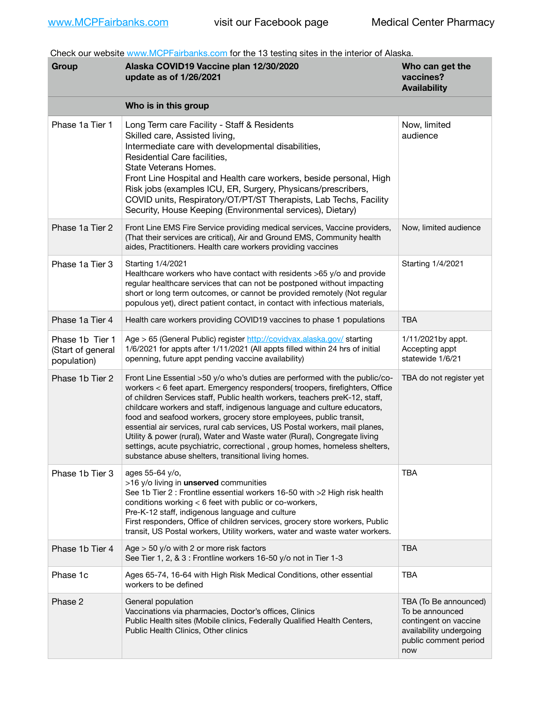Check our website [www.MCPFairbanks.com](http://www.MCPFairbanks.com) for the 13 testing sites in the interior of Alaska.

| Group                                               | Alaska COVID19 Vaccine plan 12/30/2020<br>update as of 1/26/2021                                                                                                                                                                                                                                                                                                                                                                                                                                                                                                                                                                                                                              | Who can get the<br>vaccines?<br><b>Availability</b>                                                                          |
|-----------------------------------------------------|-----------------------------------------------------------------------------------------------------------------------------------------------------------------------------------------------------------------------------------------------------------------------------------------------------------------------------------------------------------------------------------------------------------------------------------------------------------------------------------------------------------------------------------------------------------------------------------------------------------------------------------------------------------------------------------------------|------------------------------------------------------------------------------------------------------------------------------|
|                                                     | Who is in this group                                                                                                                                                                                                                                                                                                                                                                                                                                                                                                                                                                                                                                                                          |                                                                                                                              |
| Phase 1a Tier 1                                     | Long Term care Facility - Staff & Residents<br>Skilled care, Assisted living,<br>Intermediate care with developmental disabilities,<br>Residential Care facilities,<br>State Veterans Homes.<br>Front Line Hospital and Health care workers, beside personal, High<br>Risk jobs (examples ICU, ER, Surgery, Physicans/prescribers,<br>COVID units, Respiratory/OT/PT/ST Therapists, Lab Techs, Facility<br>Security, House Keeping (Environmental services), Dietary)                                                                                                                                                                                                                         | Now, limited<br>audience                                                                                                     |
| Phase 1a Tier 2                                     | Front Line EMS Fire Service providing medical services, Vaccine providers,<br>(That their services are critical), Air and Ground EMS, Community health<br>aides, Practitioners. Health care workers providing vaccines                                                                                                                                                                                                                                                                                                                                                                                                                                                                        | Now, limited audience                                                                                                        |
| Phase 1a Tier 3                                     | Starting 1/4/2021<br>Healthcare workers who have contact with residents >65 y/o and provide<br>regular healthcare services that can not be postponed without impacting<br>short or long term outcomes, or cannot be provided remotely (Not regular<br>populous yet), direct patient contact, in contact with infectious materials,                                                                                                                                                                                                                                                                                                                                                            | Starting 1/4/2021                                                                                                            |
| Phase 1a Tier 4                                     | Health care workers providing COVID19 vaccines to phase 1 populations                                                                                                                                                                                                                                                                                                                                                                                                                                                                                                                                                                                                                         | <b>TBA</b>                                                                                                                   |
| Phase 1b Tier 1<br>(Start of general<br>population) | Age > 65 (General Public) register http://covidvax.alaska.gov/ starting<br>1/6/2021 for appts after 1/11/2021 (All appts filled within 24 hrs of initial<br>openning, future appt pending vaccine availability)                                                                                                                                                                                                                                                                                                                                                                                                                                                                               | 1/11/2021by appt.<br>Accepting appt<br>statewide 1/6/21                                                                      |
| Phase 1b Tier 2                                     | Front Line Essential >50 y/o who's duties are performed with the public/co-<br>workers < 6 feet apart. Emergency responders( troopers, firefighters, Office<br>of children Services staff, Public health workers, teachers preK-12, staff,<br>childcare workers and staff, indigenous language and culture educators,<br>food and seafood workers, grocery store employees, public transit,<br>essential air services, rural cab services, US Postal workers, mail planes,<br>Utility & power (rural), Water and Waste water (Rural), Congregate living<br>settings, acute psychiatric, correctional, group homes, homeless shelters,<br>substance abuse shelters, transitional living homes. | TBA do not register yet                                                                                                      |
| Phase 1b Tier 3                                     | ages 55-64 y/o,<br>>16 y/o living in unserved communities<br>See 1b Tier 2 : Frontline essential workers 16-50 with >2 High risk health<br>conditions working < 6 feet with public or co-workers,<br>Pre-K-12 staff, indigenous language and culture<br>First responders, Office of children services, grocery store workers, Public<br>transit, US Postal workers, Utility workers, water and waste water workers.                                                                                                                                                                                                                                                                           | <b>TBA</b>                                                                                                                   |
| Phase 1b Tier 4                                     | Age $>$ 50 y/o with 2 or more risk factors<br>See Tier 1, 2, & 3 : Frontline workers 16-50 y/o not in Tier 1-3                                                                                                                                                                                                                                                                                                                                                                                                                                                                                                                                                                                | <b>TBA</b>                                                                                                                   |
| Phase 1c                                            | Ages 65-74, 16-64 with High Risk Medical Conditions, other essential<br>workers to be defined                                                                                                                                                                                                                                                                                                                                                                                                                                                                                                                                                                                                 | <b>TBA</b>                                                                                                                   |
| Phase 2                                             | General population<br>Vaccinations via pharmacies, Doctor's offices, Clinics<br>Public Health sites (Mobile clinics, Federally Qualified Health Centers,<br>Public Health Clinics, Other clinics                                                                                                                                                                                                                                                                                                                                                                                                                                                                                              | TBA (To Be announced)<br>To be announced<br>contingent on vaccine<br>availability undergoing<br>public comment period<br>now |